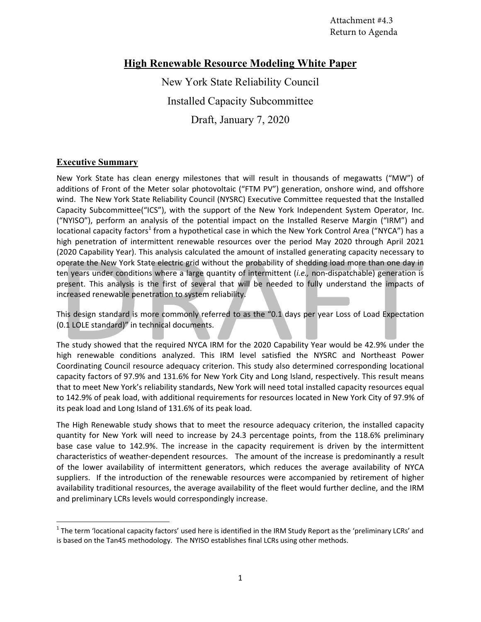# **High Renewable Resource Modeling White Paper**

New York State Reliability Council Installed Capacity Subcommittee Draft, January 7, 2020

# **Executive Summary**

New York State has clean energy milestones that will result in thousands of megawatts ("MW") of additions of Front of the Meter solar photovoltaic ("FTM PV") generation, onshore wind, and offshore wind. The New York State Reliability Council (NYSRC) Executive Committee requested that the Installed Capacity Subcommittee("ICS"), with the support of the New York Independent System Operator, Inc. ("NYISO"), perform an analysis of the potential impact on the Installed Reserve Margin ("IRM") and locational capacity factors<sup>1</sup> from a hypothetical case in which the New York Control Area ("NYCA") has a high penetration of intermittent renewable resources over the period May 2020 through April 2021 (2020 Capability Year). This analysis calculated the amount of installed generating capacity necessary to operate the New York State electric grid without the probability of shedding load more than one day in ten years under conditions where a large quantity of intermittent (*i.e.*, non-dispatchable) generation is present. This analysis is the first of several that will be needed to fully understand the impacts of increased renewable penetration to system reliability.

This design standard is more commonly referred to as the "0.1 days per year Loss of Load Expectation (0.1 LOLE standard)" in technical documents.

The study showed that the required NYCA IRM for the 2020 Capability Year would be 42.9% under the high renewable conditions analyzed. This IRM level satisfied the NYSRC and Northeast Power Coordinating Council resource adequacy criterion. This study also determined corresponding locational capacity factors of 97.9% and 131.6% for New York City and Long Island, respectively. This result means that to meet New York's reliability standards, New York will need total installed capacity resources equal to 142.9% of peak load, with additional requirements for resources located in New York City of 97.9% of its peak load and Long Island of 131.6% of its peak load.

The High Renewable study shows that to meet the resource adequacy criterion, the installed capacity quantity for New York will need to increase by 24.3 percentage points, from the 118.6% preliminary base case value to 142.9%. The increase in the capacity requirement is driven by the intermittent characteristics of weather‐dependent resources. The amount of the increase is predominantly a result of the lower availability of intermittent generators, which reduces the average availability of NYCA suppliers. If the introduction of the renewable resources were accompanied by retirement of higher availability traditional resources, the average availability of the fleet would further decline, and the IRM and preliminary LCRs levels would correspondingly increase.

 $^1$  The term 'locational capacity factors' used here is identified in the IRM Study Report as the 'preliminary LCRs' and is based on the Tan45 methodology. The NYISO establishes final LCRs using other methods.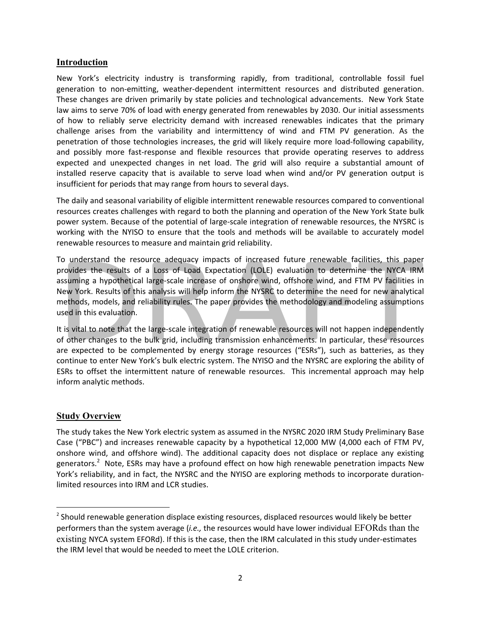### **Introduction**

New York's electricity industry is transforming rapidly, from traditional, controllable fossil fuel generation to non‐emitting, weather‐dependent intermittent resources and distributed generation. These changes are driven primarily by state policies and technological advancements. New York State law aims to serve 70% of load with energy generated from renewables by 2030. Our initial assessments of how to reliably serve electricity demand with increased renewables indicates that the primary challenge arises from the variability and intermittency of wind and FTM PV generation. As the penetration of those technologies increases, the grid will likely require more load-following capability, and possibly more fast-response and flexible resources that provide operating reserves to address expected and unexpected changes in net load. The grid will also require a substantial amount of installed reserve capacity that is available to serve load when wind and/or PV generation output is insufficient for periods that may range from hours to several days.

The daily and seasonal variability of eligible intermittent renewable resources compared to conventional resources creates challenges with regard to both the planning and operation of the New York State bulk power system. Because of the potential of large‐scale integration of renewable resources, the NYSRC is working with the NYISO to ensure that the tools and methods will be available to accurately model renewable resources to measure and maintain grid reliability.

To understand the resource adequacy impacts of increased future renewable facilities, this paper provides the results of a Loss of Load Expectation (LOLE) evaluation to determine the NYCA IRM assuming a hypothetical large‐scale increase of onshore wind, offshore wind, and FTM PV facilities in New York. Results of this analysis will help inform the NYSRC to determine the need for new analytical methods, models, and reliability rules. The paper provides the methodology and modeling assumptions used in this evaluation.

It is vital to note that the large‐scale integration of renewable resources will not happen independently of other changes to the bulk grid, including transmission enhancements. In particular, these resources are expected to be complemented by energy storage resources ("ESRs"), such as batteries, as they continue to enter New York's bulk electric system. The NYISO and the NYSRC are exploring the ability of ESRs to offset the intermittent nature of renewable resources. This incremental approach may help inform analytic methods.

# **Study Overview**

The study takes the New York electric system as assumed in the NYSRC 2020 IRM Study Preliminary Base Case ("PBC") and increases renewable capacity by a hypothetical 12,000 MW (4,000 each of FTM PV, onshore wind, and offshore wind). The additional capacity does not displace or replace any existing generators.<sup>2</sup> Note, ESRs may have a profound effect on how high renewable penetration impacts New York's reliability, and in fact, the NYSRC and the NYISO are exploring methods to incorporate duration‐ limited resources into IRM and LCR studies.

<sup>&</sup>lt;sup>2</sup> Should renewable generation displace existing resources, displaced resources would likely be better performers than the system average (*i.e.,* the resources would have lower individual EFORds than the existing NYCA system EFORd). If this is the case, then the IRM calculated in this study under‐estimates the IRM level that would be needed to meet the LOLE criterion.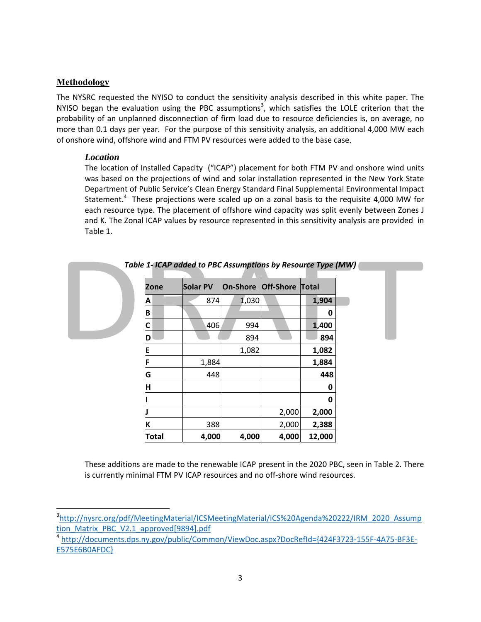### **Methodology**

The NYSRC requested the NYISO to conduct the sensitivity analysis described in this white paper. The NYISO began the evaluation using the PBC assumptions<sup>3</sup>, which satisfies the LOLE criterion that the probability of an unplanned disconnection of firm load due to resource deficiencies is, on average, no more than 0.1 days per year. For the purpose of this sensitivity analysis, an additional 4,000 MW each of onshore wind, offshore wind and FTM PV resources were added to the base case.

### *Location*

The location of Installed Capacity ("ICAP") placement for both FTM PV and onshore wind units was based on the projections of wind and solar installation represented in the New York State Department of Public Service's Clean Energy Standard Final Supplemental Environmental Impact Statement.<sup>4</sup> These projections were scaled up on a zonal basis to the requisite 4,000 MW for each resource type. The placement of offshore wind capacity was split evenly between Zones J and K. The Zonal ICAP values by resource represented in this sensitivity analysis are provided in Table 1.

|              | Table 1- ICAP added to PBC Assumptions by Resource Type (MW) |          |                        |        |
|--------------|--------------------------------------------------------------|----------|------------------------|--------|
| <b>Zone</b>  | Solar PV                                                     | On-Shore | <b>Off-Shore Total</b> |        |
| Α            | 874                                                          | 1,030    |                        | 1,904  |
| B            |                                                              |          |                        | 0      |
| C            | 406                                                          | 994      |                        | 1,400  |
| ח            |                                                              | 894      |                        | 894    |
|              |                                                              | 1,082    |                        | 1,082  |
|              | 1,884                                                        |          |                        | 1,884  |
| G            | 448                                                          |          |                        | 448    |
| н            |                                                              |          |                        | 0      |
|              |                                                              |          |                        | 0      |
|              |                                                              |          | 2,000                  | 2,000  |
|              | 388                                                          |          | 2,000                  | 2,388  |
| <b>Total</b> | 4,000                                                        | 4,000    | 4,000                  | 12,000 |

*Table 1‐ ICAP added to PBC Assumptions by Resource Type (MW)*

These additions are made to the renewable ICAP present in the 2020 PBC, seen in Table 2. There is currently minimal FTM PV ICAP resources and no off‐shore wind resources.

<sup>3</sup> http://nysrc.org/pdf/MeetingMaterial/ICSMeetingMaterial/ICS%20Agenda%20222/IRM\_2020\_Assump tion Matrix PBC V2.1 approved[9894].pdf

<sup>4</sup> http://documents.dps.ny.gov/public/Common/ViewDoc.aspx?DocRefId={424F3723‐155F‐4A75‐BF3E‐ E575E6B0AFDC}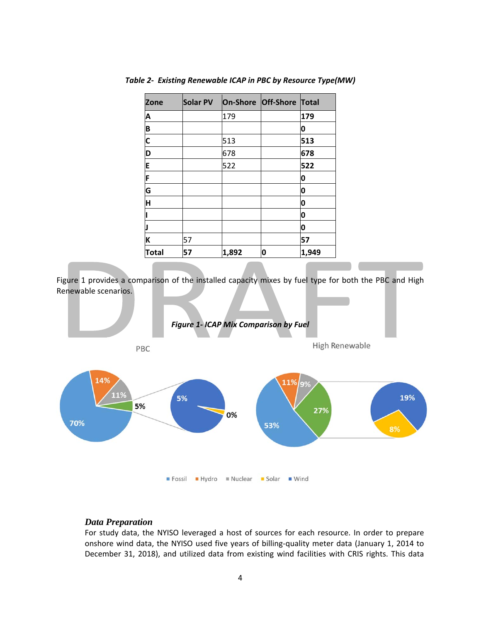| <b>Zone</b>  | Solar PV | On-Shore Off-Shore Total |   |       |
|--------------|----------|--------------------------|---|-------|
| Α            |          | 179                      |   | 179   |
| B            |          |                          |   | 0     |
| $\mathsf{C}$ |          | 513                      |   | 513   |
| D            |          | 678                      |   | 678   |
| E            |          | 522                      |   | 522   |
| F            |          |                          |   | 0     |
| G            |          |                          |   | 0     |
| H            |          |                          |   | 0     |
|              |          |                          |   | O     |
|              |          |                          |   | 0     |
| K            | 57       |                          |   | 57    |
| <b>Total</b> | 57       | 1,892                    | 0 | 1,949 |

*Table 2‐ Existing Renewable ICAP in PBC by Resource Type(MW)* 

Figure 1 provides a comparison of the installed capacity mixes by fuel type for both the PBC and High Renewable scenarios.



#### *Data Preparation*

For study data, the NYISO leveraged a host of sources for each resource. In order to prepare onshore wind data, the NYISO used five years of billing‐quality meter data (January 1, 2014 to December 31, 2018), and utilized data from existing wind facilities with CRIS rights. This data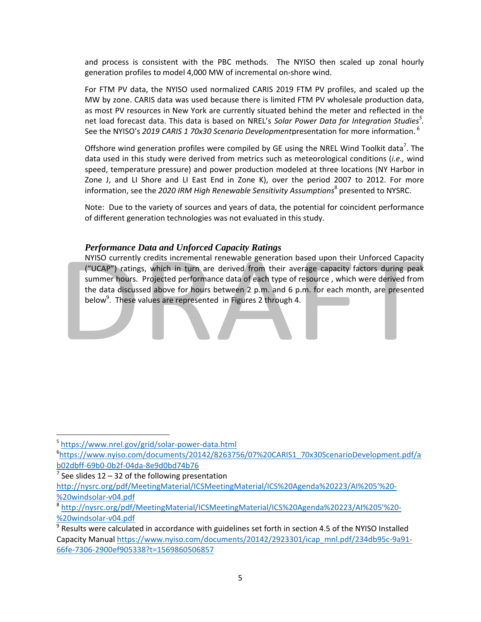and process is consistent with the PBC methods. The NYISO then scaled up zonal hourly generation profiles to model 4,000 MW of incremental on‐shore wind.

For FTM PV data, the NYISO used normalized CARIS 2019 FTM PV profiles, and scaled up the MW by zone. CARIS data was used because there is limited FTM PV wholesale production data, as most PV resources in New York are currently situated behind the meter and reflected in the net load forecast data. This data is based on NREL's *Solar Power Data for Integration Studies<sup>5</sup> .*  See the NYISO's *2019 CARIS 1 70x30 Scenario Development*presentation for more information.<sup>6</sup>

Offshore wind generation profiles were compiled by GE using the NREL Wind Toolkit data<sup>7</sup>. The data used in this study were derived from metrics such as meteorological conditions (*i.e.,* wind speed, temperature pressure) and power production modeled at three locations (NY Harbor in Zone J, and LI Shore and LI East End in Zone K), over the period 2007 to 2012. For more information, see the *2020 IRM High Renewable Sensitivity Assumptions*<sup>8</sup> presented to NYSRC.

Note: Due to the variety of sources and years of data, the potential for coincident performance of different generation technologies was not evaluated in this study.

## *Performance Data and Unforced Capacity Ratings*

NYISO currently credits incremental renewable generation based upon their Unforced Capacity ("UCAP") ratings, which in turn are derived from their average capacity factors during peak summer hours. Projected performance data of each type of resource , which were derived from the data discussed above for hours between 2 p.m. and 6 p.m. for each month, are presented below<sup>9</sup>. These values are represented in Figures 2 through 4.

 $7$  See slides 12 – 32 of the following presentation http://nysrc.org/pdf/MeetingMaterial/ICSMeetingMaterial/ICS%20Agenda%20223/AI%205'%20‐ %20windsolar‐v04.pdf

<sup>5</sup> https://www.nrel.gov/grid/solar‐power‐data.html

<sup>6</sup> https://www.nyiso.com/documents/20142/8263756/07%20CARIS1\_70x30ScenarioDevelopment.pdf/a b02dbff‐69b0‐0b2f‐04da‐8e9d0bd74b76

<sup>8</sup> http://nysrc.org/pdf/MeetingMaterial/ICSMeetingMaterial/ICS%20Agenda%20223/AI%205'%20‐ %20windsolar‐v04.pdf

 $9$  Results were calculated in accordance with guidelines set forth in section 4.5 of the NYISO Installed Capacity Manual https://www.nyiso.com/documents/20142/2923301/icap\_mnl.pdf/234db95c-9a91-66fe‐7306‐2900ef905338?t=1569860506857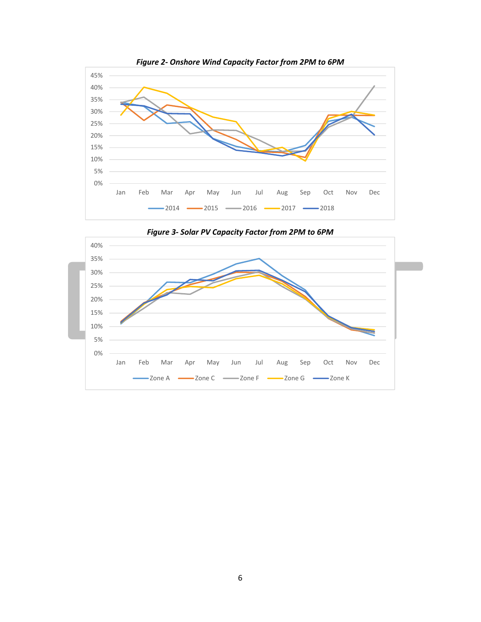



*Figure 3‐ Solar PV Capacity Factor from 2PM to 6PM*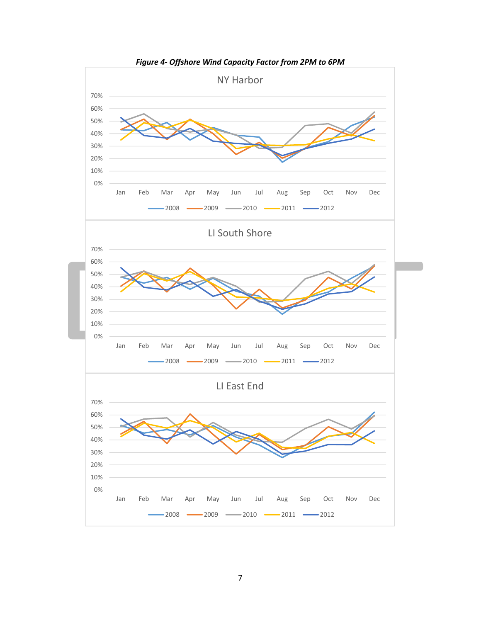

*Figure 4‐ Offshore Wind Capacity Factor from 2PM to 6PM*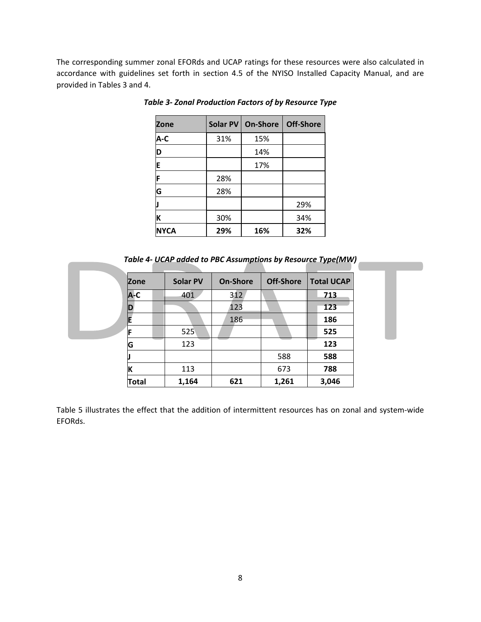The corresponding summer zonal EFORds and UCAP ratings for these resources were also calculated in accordance with guidelines set forth in section 4.5 of the NYISO Installed Capacity Manual, and are provided in Tables 3 and 4.

| Zone        |     | Solar PV   On-Shore | Off-Shore |
|-------------|-----|---------------------|-----------|
| A-C         | 31% | 15%                 |           |
| D           |     | 14%                 |           |
| E           |     | 17%                 |           |
| F           | 28% |                     |           |
| G           | 28% |                     |           |
|             |     |                     | 29%       |
| К           | 30% |                     | 34%       |
| <b>NYCA</b> | 29% | 16%                 | 32%       |

*Table 3‐ Zonal Production Factors of by Resource Type*

*Table 4‐ UCAP added to PBC Assumptions by Resource Type(MW)*

| IZone        | <b>Solar PV</b> | <b>On-Shore</b> | <b>Off-Shore</b> | <b>Total UCAP</b> |
|--------------|-----------------|-----------------|------------------|-------------------|
| A-C          | 401             | 312             |                  | 713               |
| ID           |                 | 123             |                  | 123               |
|              |                 | 186             |                  | 186               |
| IF           | 525             |                 |                  | 525               |
| G            | 123             |                 |                  | 123               |
|              |                 |                 | 588              | 588               |
|              | 113             |                 | 673              | 788               |
| <b>Total</b> | 1,164           | 621             | 1,261            | 3,046             |

Table 5 illustrates the effect that the addition of intermittent resources has on zonal and system‐wide EFORds.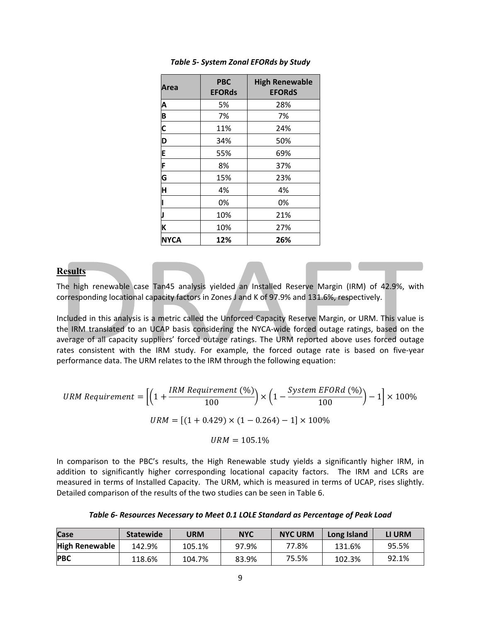| Area        | <b>PBC</b><br><b>EFORds</b> | <b>High Renewable</b><br><b>EFORdS</b> |
|-------------|-----------------------------|----------------------------------------|
| Α           | 5%                          | 28%                                    |
| B           | 7%                          | 7%                                     |
| C           | 11%                         | 24%                                    |
| D           | 34%                         | 50%                                    |
| E           | 55%                         | 69%                                    |
| F           | 8%                          | 37%                                    |
| G           | 15%                         | 23%                                    |
| H           | 4%                          | 4%                                     |
|             | 0%                          | 0%                                     |
|             | 10%                         | 21%                                    |
| K           | 10%                         | 27%                                    |
| <b>NYCA</b> | 12%                         | 26%                                    |

#### *Table 5‐ System Zonal EFORds by Study*

#### **Results**

The high renewable case Tan45 analysis yielded an Installed Reserve Margin (IRM) of 42.9%, with corresponding locational capacity factors in Zones J and K of 97.9% and 131.6%, respectively.

Included in this analysis is a metric called the Unforced Capacity Reserve Margin, or URM. This value is the IRM translated to an UCAP basis considering the NYCA‐wide forced outage ratings, based on the average of all capacity suppliers' forced outage ratings. The URM reported above uses forced outage rates consistent with the IRM study. For example, the forced outage rate is based on five-year performance data. The URM relates to the IRM through the following equation:

$$
URM\;Required = \left[ \left( 1 + \frac{IRM\;Required\; (*)}{100} \right) \times \left( 1 - \frac{System\; EFORd\; (*)}{100} \right) - 1 \right] \times 100\%
$$
\n
$$
URM = \left[ (1 + 0.429) \times (1 - 0.264) - 1 \right] \times 100\%
$$

 $URM = 105.1%$ 

In comparison to the PBC's results, the High Renewable study yields a significantly higher IRM, in addition to significantly higher corresponding locational capacity factors. The IRM and LCRs are measured in terms of Installed Capacity. The URM, which is measured in terms of UCAP, rises slightly. Detailed comparison of the results of the two studies can be seen in Table 6.

|  |  | Table 6- Resources Necessary to Meet 0.1 LOLE Standard as Percentage of Peak Load |
|--|--|-----------------------------------------------------------------------------------|
|--|--|-----------------------------------------------------------------------------------|

| Case                  | <b>Statewide</b> | <b>JRM</b> | <b>NYC</b> | <b>NYC URM</b> | Long Island | LI URM |
|-----------------------|------------------|------------|------------|----------------|-------------|--------|
| <b>High Renewable</b> | 142.9%           | 105.1%     | 97.9%      | 77.8%          | 131.6%      | 95.5%  |
| <b>PBC</b>            | 118.6%           | 104.7%     | 83.9%      | 75.5%          | 102.3%      | 92.1%  |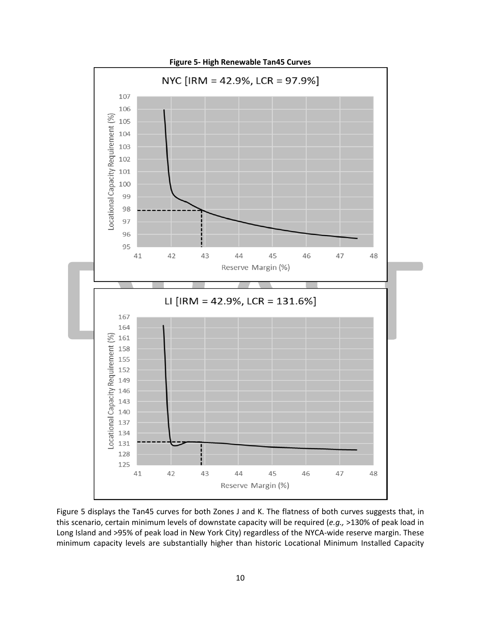

Figure 5 displays the Tan45 curves for both Zones J and K. The flatness of both curves suggests that, in this scenario, certain minimum levels of downstate capacity will be required (*e.g.,* >130% of peak load in Long Island and >95% of peak load in New York City) regardless of the NYCA-wide reserve margin. These minimum capacity levels are substantially higher than historic Locational Minimum Installed Capacity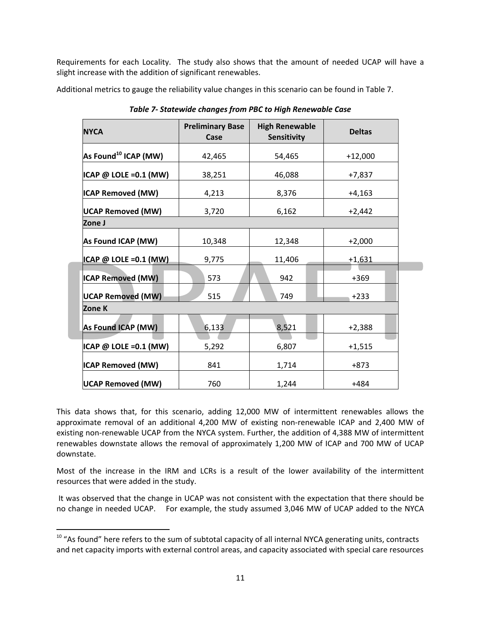Requirements for each Locality. The study also shows that the amount of needed UCAP will have a slight increase with the addition of significant renewables.

Additional metrics to gauge the reliability value changes in this scenario can be found in Table 7.

| <b>NYCA</b>                      | <b>Preliminary Base</b><br>Case | <b>High Renewable</b><br>Sensitivity | <b>Deltas</b> |  |  |  |
|----------------------------------|---------------------------------|--------------------------------------|---------------|--|--|--|
| As Found <sup>10</sup> ICAP (MW) | 42,465                          | 54,465                               | $+12,000$     |  |  |  |
| ICAP @ LOLE = 0.1 (MW)           | 38,251                          | 46,088                               | $+7,837$      |  |  |  |
| <b>ICAP Removed (MW)</b>         | 4,213                           | 8,376                                | $+4,163$      |  |  |  |
| <b>UCAP Removed (MW)</b>         | 3,720                           | 6,162                                | $+2,442$      |  |  |  |
| Zone J                           |                                 |                                      |               |  |  |  |
| As Found ICAP (MW)               | 10,348                          | 12,348                               | $+2,000$      |  |  |  |
| ICAP @ LOLE =0.1 (MW)            | 9,775                           | 11,406                               | $+1,631$      |  |  |  |
| <b>ICAP Removed (MW)</b>         | 573                             | 942                                  | $+369$        |  |  |  |
| <b>UCAP Removed (MW)</b>         | 515                             | 749                                  | $+233$        |  |  |  |
| Zone K                           |                                 |                                      |               |  |  |  |
| As Found ICAP (MW)               | 6,133                           | 8,521                                | $+2,388$      |  |  |  |
| $ICAP @ LOLE = 0.1 (MW)$         | 5,292                           | 6,807                                | $+1,515$      |  |  |  |
| <b>ICAP Removed (MW)</b>         | 841                             | 1,714                                | +873          |  |  |  |
| <b>UCAP Removed (MW)</b>         | 760                             | 1,244                                | $+484$        |  |  |  |

*Table 7‐ Statewide changes from PBC to High Renewable Case*

This data shows that, for this scenario, adding 12,000 MW of intermittent renewables allows the approximate removal of an additional 4,200 MW of existing non-renewable ICAP and 2,400 MW of existing non-renewable UCAP from the NYCA system. Further, the addition of 4,388 MW of intermittent renewables downstate allows the removal of approximately 1,200 MW of ICAP and 700 MW of UCAP downstate.

Most of the increase in the IRM and LCRs is a result of the lower availability of the intermittent resources that were added in the study.

 It was observed that the change in UCAP was not consistent with the expectation that there should be no change in needed UCAP. For example, the study assumed 3,046 MW of UCAP added to the NYCA

<sup>&</sup>lt;sup>10</sup> "As found" here refers to the sum of subtotal capacity of all internal NYCA generating units, contracts and net capacity imports with external control areas, and capacity associated with special care resources